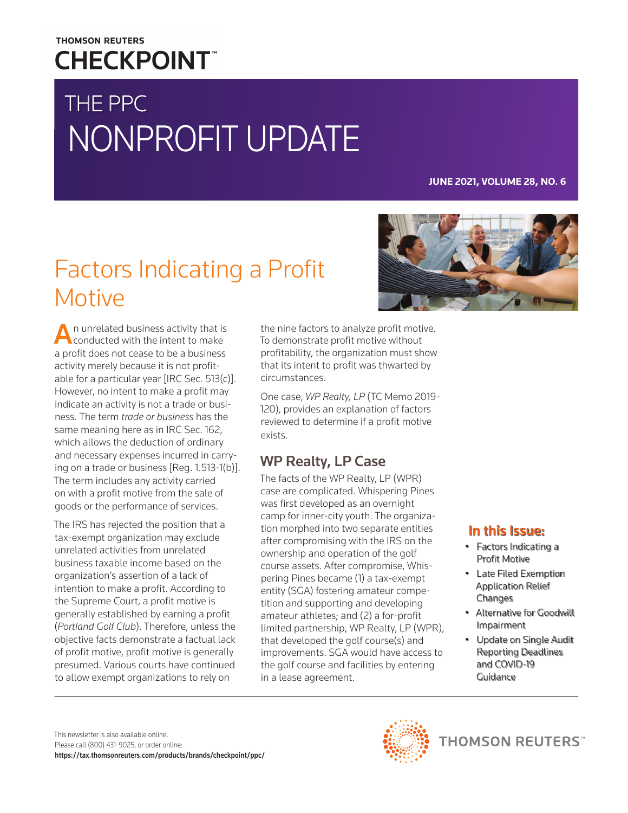## **THOMSON REUTERS CHECKPOINT**

# THE PPC NONPROFIT UPDATE

#### **JUNE 2021, VOLUME 28, NO. 6**

## Factors Indicating a Profit Motive

n unrelated business activity that is conducted with the intent to make a profit does not cease to be a business activity merely because it is not profitable for a particular year [IRC Sec. 513(c)]. However, no intent to make a profit may indicate an activity is not a trade or business. The term *trade or business* has the same meaning here as in IRC Sec. 162, which allows the deduction of ordinary and necessary expenses incurred in carrying on a trade or business [Reg. 1.513-1(b)]. The term includes any activity carried on with a profit motive from the sale of goods or the performance of services.

The IRS has rejected the position that a tax-exempt organization may exclude unrelated activities from unrelated business taxable income based on the organization's assertion of a lack of intention to make a profit. According to the Supreme Court, a profit motive is generally established by earning a profit (*Portland Golf Club*). Therefore, unless the objective facts demonstrate a factual lack of profit motive, profit motive is generally presumed. Various courts have continued to allow exempt organizations to rely on

the nine factors to analyze profit motive. To demonstrate profit motive without profitability, the organization must show that its intent to profit was thwarted by circumstances.

One case, *WP Realty, LP* (TC Memo 2019- 120), provides an explanation of factors reviewed to determine if a profit motive exists.

## WP Realty, LP Case

The facts of the WP Realty, LP (WPR) case are complicated. Whispering Pines was first developed as an overnight camp for inner-city youth. The organization morphed into two separate entities after compromising with the IRS on the ownership and operation of the golf course assets. After compromise, Whispering Pines became (1) a tax-exempt entity (SGA) fostering amateur competition and supporting and developing amateur athletes; and (2) a for-profit limited partnership, WP Realty, LP (WPR), that developed the golf course(s) and improvements. SGA would have access to the golf course and facilities by entering in a lease agreement.



#### In this Issue:

- Factors Indicating a Profit Motive
- Late Filed Exemption Application Relief **Changes**
- Alternative for Goodwill Impairment
- Update on Single Audit Reporting Deadlines and COVID-19 Guidance



**THOMSON REUTERS**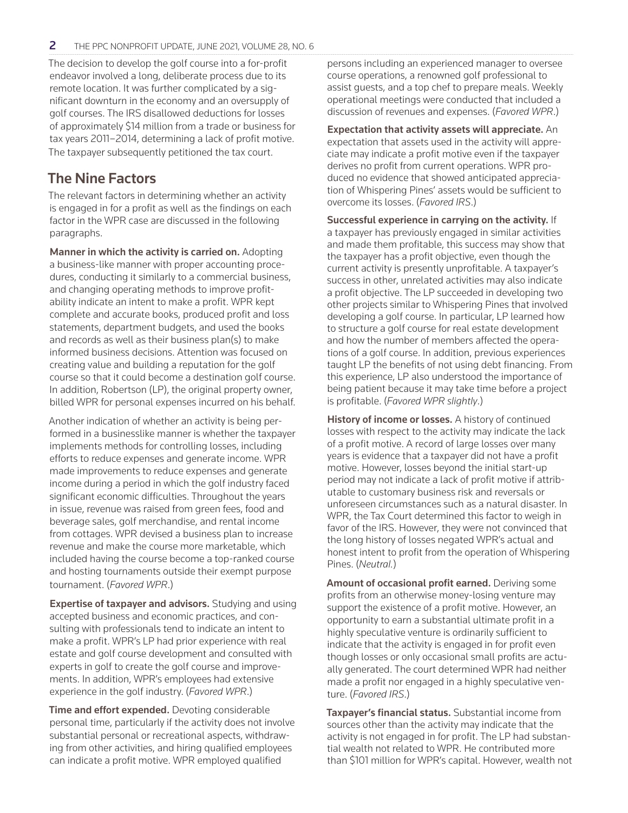The decision to develop the golf course into a for-profit endeavor involved a long, deliberate process due to its remote location. It was further complicated by a significant downturn in the economy and an oversupply of golf courses. The IRS disallowed deductions for losses of approximately \$14 million from a trade or business for tax years 2011–2014, determining a lack of profit motive. The taxpayer subsequently petitioned the tax court.

#### The Nine Factors

The relevant factors in determining whether an activity is engaged in for a profit as well as the findings on each factor in the WPR case are discussed in the following paragraphs.

Manner in which the activity is carried on. Adopting a business-like manner with proper accounting procedures, conducting it similarly to a commercial business, and changing operating methods to improve profitability indicate an intent to make a profit. WPR kept complete and accurate books, produced profit and loss statements, department budgets, and used the books and records as well as their business plan(s) to make informed business decisions. Attention was focused on creating value and building a reputation for the golf course so that it could become a destination golf course. In addition, Robertson (LP), the original property owner, billed WPR for personal expenses incurred on his behalf.

Another indication of whether an activity is being performed in a businesslike manner is whether the taxpayer implements methods for controlling losses, including efforts to reduce expenses and generate income. WPR made improvements to reduce expenses and generate income during a period in which the golf industry faced significant economic difficulties. Throughout the years in issue, revenue was raised from green fees, food and beverage sales, golf merchandise, and rental income from cottages. WPR devised a business plan to increase revenue and make the course more marketable, which included having the course become a top-ranked course and hosting tournaments outside their exempt purpose tournament. (*Favored WPR*.)

Expertise of taxpayer and advisors. Studying and using accepted business and economic practices, and consulting with professionals tend to indicate an intent to make a profit. WPR's LP had prior experience with real estate and golf course development and consulted with experts in golf to create the golf course and improvements. In addition, WPR's employees had extensive experience in the golf industry. (*Favored WPR*.)

Time and effort expended. Devoting considerable personal time, particularly if the activity does not involve substantial personal or recreational aspects, withdrawing from other activities, and hiring qualified employees can indicate a profit motive. WPR employed qualified

persons including an experienced manager to oversee course operations, a renowned golf professional to assist guests, and a top chef to prepare meals. Weekly operational meetings were conducted that included a discussion of revenues and expenses. (*Favored WPR*.)

Expectation that activity assets will appreciate. An expectation that assets used in the activity will appreciate may indicate a profit motive even if the taxpayer derives no profit from current operations. WPR produced no evidence that showed anticipated appreciation of Whispering Pines' assets would be sufficient to overcome its losses. (*Favored IRS*.)

Successful experience in carrying on the activity. If a taxpayer has previously engaged in similar activities and made them profitable, this success may show that the taxpayer has a profit objective, even though the current activity is presently unprofitable. A taxpayer's success in other, unrelated activities may also indicate a profit objective. The LP succeeded in developing two other projects similar to Whispering Pines that involved developing a golf course. In particular, LP learned how to structure a golf course for real estate development and how the number of members affected the operations of a golf course. In addition, previous experiences taught LP the benefits of not using debt financing. From this experience, LP also understood the importance of being patient because it may take time before a project is profitable. (*Favored WPR slightly*.)

History of income or losses. A history of continued losses with respect to the activity may indicate the lack of a profit motive. A record of large losses over many years is evidence that a taxpayer did not have a profit motive. However, losses beyond the initial start-up period may not indicate a lack of profit motive if attributable to customary business risk and reversals or unforeseen circumstances such as a natural disaster. In WPR, the Tax Court determined this factor to weigh in favor of the IRS. However, they were not convinced that the long history of losses negated WPR's actual and honest intent to profit from the operation of Whispering Pines. (*Neutral.*)

Amount of occasional profit earned. Deriving some profits from an otherwise money-losing venture may support the existence of a profit motive. However, an opportunity to earn a substantial ultimate profit in a highly speculative venture is ordinarily sufficient to indicate that the activity is engaged in for profit even though losses or only occasional small profits are actually generated. The court determined WPR had neither made a profit nor engaged in a highly speculative venture. (*Favored IRS*.)

Taxpayer's financial status. Substantial income from sources other than the activity may indicate that the activity is not engaged in for profit. The LP had substantial wealth not related to WPR. He contributed more than \$101 million for WPR's capital. However, wealth not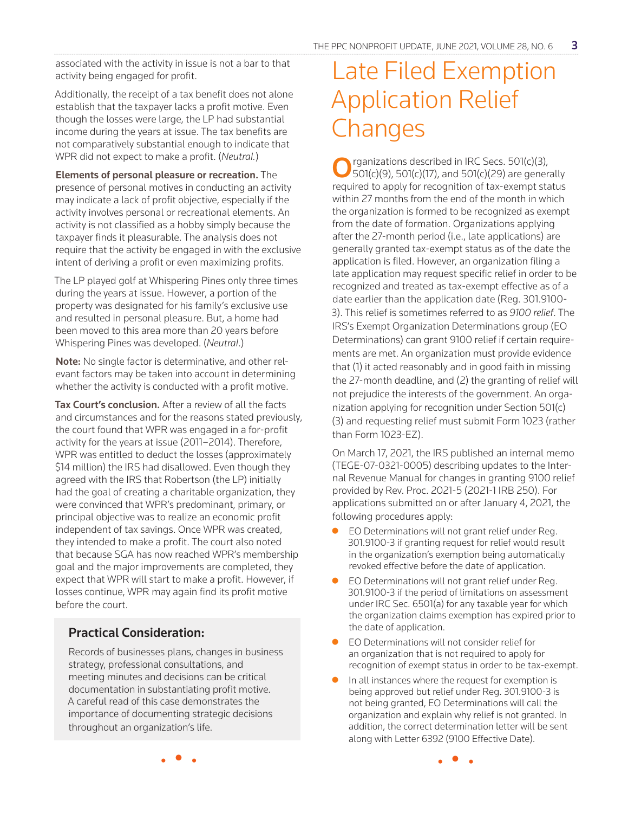associated with the activity in issue is not a bar to that activity being engaged for profit.

Additionally, the receipt of a tax benefit does not alone establish that the taxpayer lacks a profit motive. Even though the losses were large, the LP had substantial income during the years at issue. The tax benefits are not comparatively substantial enough to indicate that WPR did not expect to make a profit. (*Neutral.*)

Elements of personal pleasure or recreation. The presence of personal motives in conducting an activity may indicate a lack of profit objective, especially if the activity involves personal or recreational elements. An activity is not classified as a hobby simply because the taxpayer finds it pleasurable. The analysis does not require that the activity be engaged in with the exclusive intent of deriving a profit or even maximizing profits.

The LP played golf at Whispering Pines only three times during the years at issue. However, a portion of the property was designated for his family's exclusive use and resulted in personal pleasure. But, a home had been moved to this area more than 20 years before Whispering Pines was developed. (*Neutral*.)

Note: No single factor is determinative, and other relevant factors may be taken into account in determining whether the activity is conducted with a profit motive.

Tax Court's conclusion. After a review of all the facts and circumstances and for the reasons stated previously, the court found that WPR was engaged in a for-profit activity for the years at issue (2011–2014). Therefore, WPR was entitled to deduct the losses (approximately \$14 million) the IRS had disallowed. Even though they agreed with the IRS that Robertson (the LP) initially had the goal of creating a charitable organization, they were convinced that WPR's predominant, primary, or principal objective was to realize an economic profit independent of tax savings. Once WPR was created, they intended to make a profit. The court also noted that because SGA has now reached WPR's membership goal and the major improvements are completed, they expect that WPR will start to make a profit. However, if losses continue, WPR may again find its profit motive before the court.

#### Practical Consideration:

Records of businesses plans, changes in business strategy, professional consultations, and meeting minutes and decisions can be critical documentation in substantiating profit motive. A careful read of this case demonstrates the importance of documenting strategic decisions throughout an organization's life.

## Late Filed Exemption Application Relief **Changes**

Organizations described in IRC Secs. 501(c)(3),<br>501(c)(9), 501(c)(17), and 501(c)(29) are generally required to apply for recognition of tax-exempt status within 27 months from the end of the month in which the organization is formed to be recognized as exempt from the date of formation. Organizations applying after the 27-month period (i.e., late applications) are generally granted tax-exempt status as of the date the application is filed. However, an organization filing a late application may request specific relief in order to be recognized and treated as tax-exempt effective as of a date earlier than the application date (Reg. 301.9100- 3). This relief is sometimes referred to as *9100 relief*. The IRS's Exempt Organization Determinations group (EO Determinations) can grant 9100 relief if certain requirements are met. An organization must provide evidence that (1) it acted reasonably and in good faith in missing the 27-month deadline, and (2) the granting of relief will not prejudice the interests of the government. An organization applying for recognition under Section 501(c) (3) and requesting relief must submit Form 1023 (rather than Form 1023-EZ).

On March 17, 2021, the IRS published an internal memo (TEGE-07-0321-0005) describing updates to the Internal Revenue Manual for changes in granting 9100 relief provided by Rev. Proc. 2021-5 (2021-1 IRB 250). For applications submitted on or after January 4, 2021, the following procedures apply:

- EO Determinations will not grant relief under Reg. 301.9100-3 if granting request for relief would result in the organization's exemption being automatically revoked effective before the date of application.
- **•** EO Determinations will not grant relief under Reg. 301.9100-3 if the period of limitations on assessment under IRC Sec. 6501(a) for any taxable year for which the organization claims exemption has expired prior to the date of application.
- EO Determinations will not consider relief for an organization that is not required to apply for recognition of exempt status in order to be tax-exempt.
- In all instances where the request for exemption is being approved but relief under Reg. 301.9100-3 is not being granted, EO Determinations will call the organization and explain why relief is not granted. In addition, the correct determination letter will be sent along with Letter 6392 (9100 Effective Date).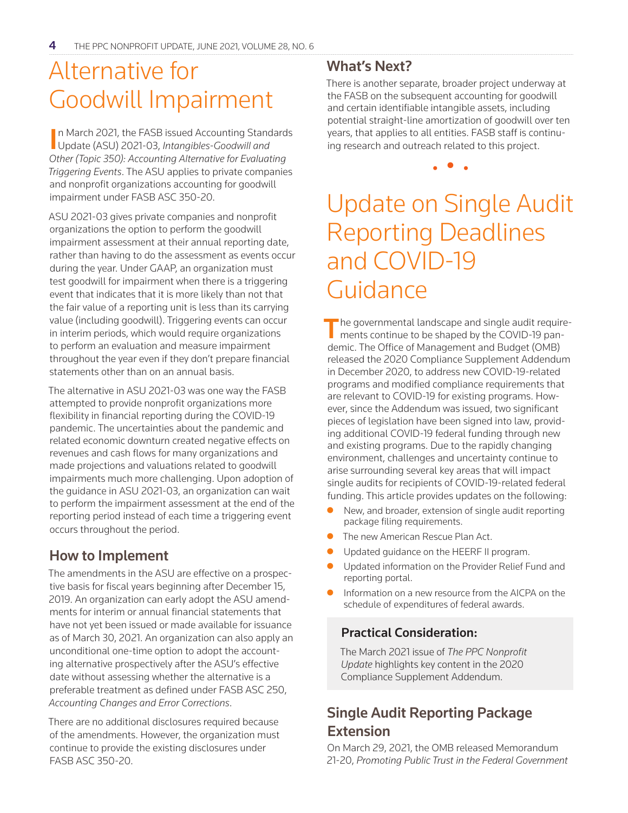## Alternative for Goodwill Impairment

In March 2021, the FASB issued Accounting Stand<br>Update (ASU) 2021-03, *Intangibles-Goodwill and* n March 2021, the FASB issued Accounting Standards *Other (Topic 350): Accounting Alternative for Evaluating Triggering Events*. The ASU applies to private companies and nonprofit organizations accounting for goodwill impairment under FASB ASC 350-20.

ASU 2021-03 gives private companies and nonprofit organizations the option to perform the goodwill impairment assessment at their annual reporting date, rather than having to do the assessment as events occur during the year. Under GAAP, an organization must test goodwill for impairment when there is a triggering event that indicates that it is more likely than not that the fair value of a reporting unit is less than its carrying value (including goodwill). Triggering events can occur in interim periods, which would require organizations to perform an evaluation and measure impairment throughout the year even if they don't prepare financial statements other than on an annual basis.

The alternative in ASU 2021-03 was one way the FASB attempted to provide nonprofit organizations more flexibility in financial reporting during the COVID-19 pandemic. The uncertainties about the pandemic and related economic downturn created negative effects on revenues and cash flows for many organizations and made projections and valuations related to goodwill impairments much more challenging. Upon adoption of the guidance in ASU 2021-03, an organization can wait to perform the impairment assessment at the end of the reporting period instead of each time a triggering event occurs throughout the period.

## How to Implement

The amendments in the ASU are effective on a prospective basis for fiscal years beginning after December 15, 2019. An organization can early adopt the ASU amendments for interim or annual financial statements that have not yet been issued or made available for issuance as of March 30, 2021. An organization can also apply an unconditional one-time option to adopt the accounting alternative prospectively after the ASU's effective date without assessing whether the alternative is a preferable treatment as defined under FASB ASC 250, *Accounting Changes and Error Corrections*.

There are no additional disclosures required because of the amendments. However, the organization must continue to provide the existing disclosures under FASB ASC 350-20.

#### What's Next?

There is another separate, broader project underway at the FASB on the subsequent accounting for goodwill and certain identifiable intangible assets, including potential straight-line amortization of goodwill over ten years, that applies to all entities. FASB staff is continuing research and outreach related to this project.

• • •

## Update on Single Audit Reporting Deadlines and COVID-19 Guidance

 $\blacksquare$  he governmental landscape and single audit requirements continue to be shaped by the COVID-19 pandemic. The Office of Management and Budget (OMB) released the 2020 Compliance Supplement Addendum in December 2020, to address new COVID-19-related programs and modified compliance requirements that are relevant to COVID-19 for existing programs. However, since the Addendum was issued, two significant pieces of legislation have been signed into law, providing additional COVID-19 federal funding through new and existing programs. Due to the rapidly changing environment, challenges and uncertainty continue to arise surrounding several key areas that will impact single audits for recipients of COVID-19-related federal funding. This article provides updates on the following:

- New, and broader, extension of single audit reporting package filing requirements.
- The new American Rescue Plan Act.
- Updated guidance on the HEERF II program.
- Updated information on the Provider Relief Fund and reporting portal.
- Information on a new resource from the AICPA on the schedule of expenditures of federal awards.

#### Practical Consideration:

The March 2021 issue of *The PPC Nonprofit Update* highlights key content in the 2020 Compliance Supplement Addendum.

### Single Audit Reporting Package Extension

On March 29, 2021, the OMB released Memorandum 21-20, *Promoting Public Trust in the Federal Government*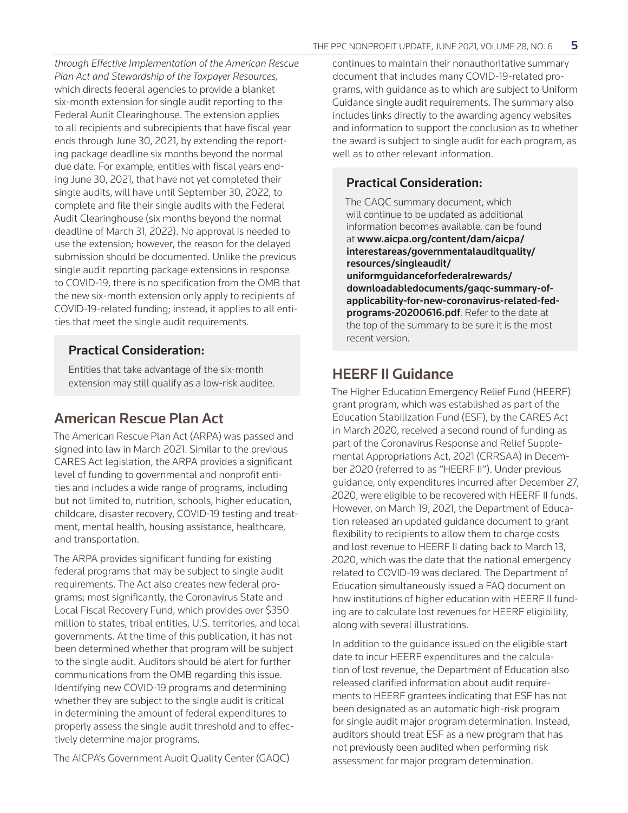*through Effective Implementation of the American Rescue Plan Act and Stewardship of the Taxpayer Resources,* which directs federal agencies to provide a blanket six-month extension for single audit reporting to the Federal Audit Clearinghouse. The extension applies to all recipients and subrecipients that have fiscal year ends through June 30, 2021, by extending the reporting package deadline six months beyond the normal due date. For example, entities with fiscal years ending June 30, 2021, that have not yet completed their single audits, will have until September 30, 2022, to complete and file their single audits with the Federal Audit Clearinghouse (six months beyond the normal deadline of March 31, 2022). No approval is needed to use the extension; however, the reason for the delayed submission should be documented. Unlike the previous single audit reporting package extensions in response to COVID-19, there is no specification from the OMB that the new six-month extension only apply to recipients of COVID-19-related funding; instead, it applies to all entities that meet the single audit requirements.

#### Practical Consideration:

Entities that take advantage of the six-month extension may still qualify as a low-risk auditee.

### American Rescue Plan Act

The American Rescue Plan Act (ARPA) was passed and signed into law in March 2021. Similar to the previous CARES Act legislation, the ARPA provides a significant level of funding to governmental and nonprofit entities and includes a wide range of programs, including but not limited to, nutrition, schools, higher education, childcare, disaster recovery, COVID-19 testing and treatment, mental health, housing assistance, healthcare, and transportation.

The ARPA provides significant funding for existing federal programs that may be subject to single audit requirements. The Act also creates new federal programs; most significantly, the Coronavirus State and Local Fiscal Recovery Fund, which provides over \$350 million to states, tribal entities, U.S. territories, and local governments. At the time of this publication, it has not been determined whether that program will be subject to the single audit. Auditors should be alert for further communications from the OMB regarding this issue. Identifying new COVID-19 programs and determining whether they are subject to the single audit is critical in determining the amount of federal expenditures to properly assess the single audit threshold and to effectively determine major programs.

The AICPA's Government Audit Quality Center (GAQC)

continues to maintain their nonauthoritative summary document that includes many COVID-19-related programs, with guidance as to which are subject to Uniform Guidance single audit requirements. The summary also includes links directly to the awarding agency websites and information to support the conclusion as to whether the award is subject to single audit for each program, as well as to other relevant information.

#### Practical Consideration:

The GAQC summary document, which will continue to be updated as additional information becomes available, can be found at www.aicpa.org/content/dam/aicpa/ interestareas/governmentalauditquality/ resources/singleaudit/ uniformguidanceforfederalrewards/ downloadabledocuments/gaqc-summary-ofapplicability-for-new-coronavirus-related-fedprograms-20200616.pdf. Refer to the date at the top of the summary to be sure it is the most recent version.

### HEERF II Guidance

The Higher Education Emergency Relief Fund (HEERF) grant program, which was established as part of the Education Stabilization Fund (ESF), by the CARES Act in March 2020, received a second round of funding as part of the Coronavirus Response and Relief Supplemental Appropriations Act, 2021 (CRRSAA) in December 2020 (referred to as "HEERF II"). Under previous guidance, only expenditures incurred after December 27, 2020, were eligible to be recovered with HEERF II funds. However, on March 19, 2021, the Department of Education released an updated guidance document to grant flexibility to recipients to allow them to charge costs and lost revenue to HEERF II dating back to March 13, 2020, which was the date that the national emergency related to COVID-19 was declared. The Department of Education simultaneously issued a FAQ document on how institutions of higher education with HEERF II funding are to calculate lost revenues for HEERF eligibility, along with several illustrations.

In addition to the guidance issued on the eligible start date to incur HEERF expenditures and the calculation of lost revenue, the Department of Education also released clarified information about audit requirements to HEERF grantees indicating that ESF has not been designated as an automatic high-risk program for single audit major program determination. Instead, auditors should treat ESF as a new program that has not previously been audited when performing risk assessment for major program determination.